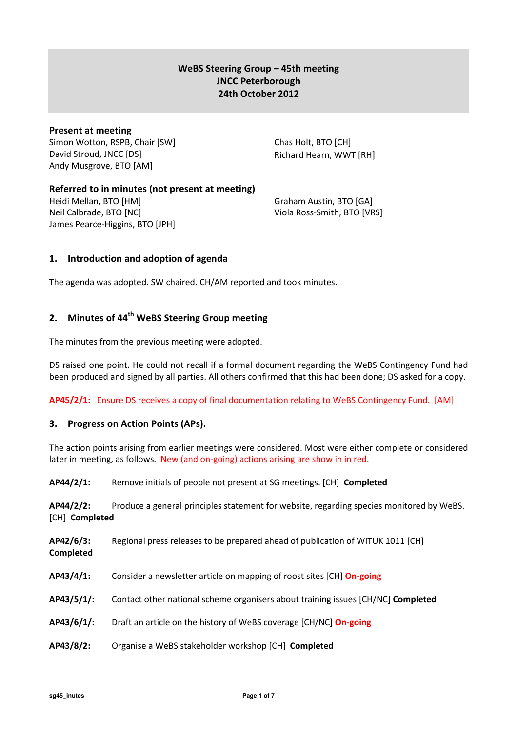## WeBS Steering Group – 45th meeting JNCC Peterborough 24th October 2012

## Present at meeting

Simon Wotton, RSPB, Chair [SW] David Stroud, JNCC [DS] Andy Musgrove, BTO [AM]

Chas Holt, BTO [CH] Richard Hearn, WWT [RH]

## Referred to in minutes (not present at meeting)

Heidi Mellan, BTO [HM] Neil Calbrade, BTO [NC] James Pearce-Higgins, BTO [JPH]

Graham Austin, BTO [GA] Viola Ross-Smith, BTO [VRS]

## 1. Introduction and adoption of agenda

The agenda was adopted. SW chaired. CH/AM reported and took minutes.

# 2. Minutes of 44<sup>th</sup> WeBS Steering Group meeting

The minutes from the previous meeting were adopted.

DS raised one point. He could not recall if a formal document regarding the WeBS Contingency Fund had been produced and signed by all parties. All others confirmed that this had been done; DS asked for a copy.

AP45/2/1: Ensure DS receives a copy of final documentation relating to WeBS Contingency Fund. [AM]

## 3. Progress on Action Points (APs).

The action points arising from earlier meetings were considered. Most were either complete or considered later in meeting, as follows. New (and on-going) actions arising are show in in red.

AP44/2/1: Remove initials of people not present at SG meetings. [CH] Completed

AP44/2/2: Produce a general principles statement for website, regarding species monitored by WeBS. [CH] Completed

AP42/6/3: Regional press releases to be prepared ahead of publication of WITUK 1011 [CH] Completed

- AP43/4/1: Consider a newsletter article on mapping of roost sites [CH] On-going
- AP43/5/1/: Contact other national scheme organisers about training issues [CH/NC] Completed
- AP43/6/1/: Draft an article on the history of WeBS coverage [CH/NC] On-going
- AP43/8/2: Organise a WeBS stakeholder workshop [CH] Completed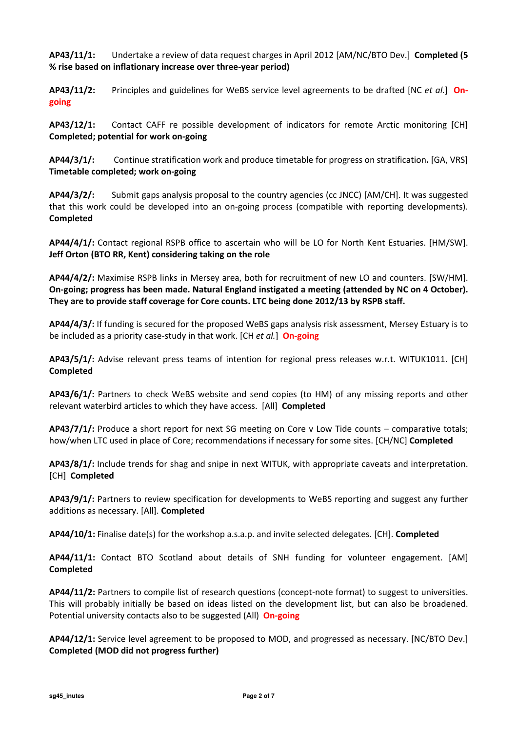AP43/11/1: Undertake a review of data request charges in April 2012 [AM/NC/BTO Dev.] Completed (5 % rise based on inflationary increase over three-year period)

AP43/11/2: Principles and guidelines for WeBS service level agreements to be drafted [NC et al.] Ongoing

AP43/12/1: Contact CAFF re possible development of indicators for remote Arctic monitoring [CH] Completed; potential for work on-going

AP44/3/1/: Continue stratification work and produce timetable for progress on stratification. [GA, VRS] Timetable completed; work on-going

AP44/3/2/: Submit gaps analysis proposal to the country agencies (cc JNCC) [AM/CH]. It was suggested that this work could be developed into an on-going process (compatible with reporting developments). Completed

AP44/4/1/: Contact regional RSPB office to ascertain who will be LO for North Kent Estuaries. [HM/SW]. Jeff Orton (BTO RR, Kent) considering taking on the role

AP44/4/2/: Maximise RSPB links in Mersey area, both for recruitment of new LO and counters. [SW/HM]. On-going; progress has been made. Natural England instigated a meeting (attended by NC on 4 October). They are to provide staff coverage for Core counts. LTC being done 2012/13 by RSPB staff.

AP44/4/3/: If funding is secured for the proposed WeBS gaps analysis risk assessment, Mersey Estuary is to be included as a priority case-study in that work. [CH et al.] On-going

AP43/5/1/: Advise relevant press teams of intention for regional press releases w.r.t. WITUK1011. [CH] Completed

AP43/6/1/: Partners to check WeBS website and send copies (to HM) of any missing reports and other relevant waterbird articles to which they have access. [All] Completed

AP43/7/1/: Produce a short report for next SG meeting on Core v Low Tide counts – comparative totals; how/when LTC used in place of Core; recommendations if necessary for some sites. [CH/NC] Completed

AP43/8/1/: Include trends for shag and snipe in next WITUK, with appropriate caveats and interpretation. [CH] Completed

AP43/9/1/: Partners to review specification for developments to WeBS reporting and suggest any further additions as necessary. [All]. Completed

AP44/10/1: Finalise date(s) for the workshop a.s.a.p. and invite selected delegates. [CH]. Completed

AP44/11/1: Contact BTO Scotland about details of SNH funding for volunteer engagement. [AM] Completed

AP44/11/2: Partners to compile list of research questions (concept-note format) to suggest to universities. This will probably initially be based on ideas listed on the development list, but can also be broadened. Potential university contacts also to be suggested (All) **On-going** 

AP44/12/1: Service level agreement to be proposed to MOD, and progressed as necessary. [NC/BTO Dev.] Completed (MOD did not progress further)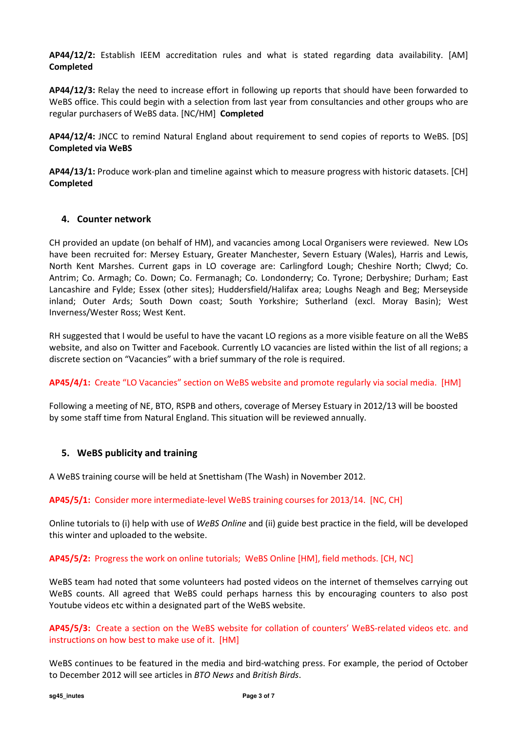AP44/12/2: Establish IEEM accreditation rules and what is stated regarding data availability. [AM] Completed

AP44/12/3: Relay the need to increase effort in following up reports that should have been forwarded to WeBS office. This could begin with a selection from last year from consultancies and other groups who are regular purchasers of WeBS data. [NC/HM] Completed

AP44/12/4: JNCC to remind Natural England about requirement to send copies of reports to WeBS. [DS] Completed via WeBS

AP44/13/1: Produce work-plan and timeline against which to measure progress with historic datasets. [CH] Completed

## 4. Counter network

CH provided an update (on behalf of HM), and vacancies among Local Organisers were reviewed. New LOs have been recruited for: Mersey Estuary, Greater Manchester, Severn Estuary (Wales), Harris and Lewis, North Kent Marshes. Current gaps in LO coverage are: Carlingford Lough; Cheshire North; Clwyd; Co. Antrim; Co. Armagh; Co. Down; Co. Fermanagh; Co. Londonderry; Co. Tyrone; Derbyshire; Durham; East Lancashire and Fylde; Essex (other sites); Huddersfield/Halifax area; Loughs Neagh and Beg; Merseyside inland; Outer Ards; South Down coast; South Yorkshire; Sutherland (excl. Moray Basin); West Inverness/Wester Ross; West Kent.

RH suggested that I would be useful to have the vacant LO regions as a more visible feature on all the WeBS website, and also on Twitter and Facebook. Currently LO vacancies are listed within the list of all regions; a discrete section on "Vacancies" with a brief summary of the role is required.

AP45/4/1: Create "LO Vacancies" section on WeBS website and promote regularly via social media. [HM]

Following a meeting of NE, BTO, RSPB and others, coverage of Mersey Estuary in 2012/13 will be boosted by some staff time from Natural England. This situation will be reviewed annually.

### 5. WeBS publicity and training

A WeBS training course will be held at Snettisham (The Wash) in November 2012.

### AP45/5/1: Consider more intermediate-level WeBS training courses for 2013/14. [NC, CH]

Online tutorials to (i) help with use of WeBS Online and (ii) guide best practice in the field, will be developed this winter and uploaded to the website.

### AP45/5/2: Progress the work on online tutorials; WeBS Online [HM], field methods. [CH, NC]

WeBS team had noted that some volunteers had posted videos on the internet of themselves carrying out WeBS counts. All agreed that WeBS could perhaps harness this by encouraging counters to also post Youtube videos etc within a designated part of the WeBS website.

AP45/5/3: Create a section on the WeBS website for collation of counters' WeBS-related videos etc. and instructions on how best to make use of it. [HM]

WeBS continues to be featured in the media and bird-watching press. For example, the period of October to December 2012 will see articles in BTO News and British Birds.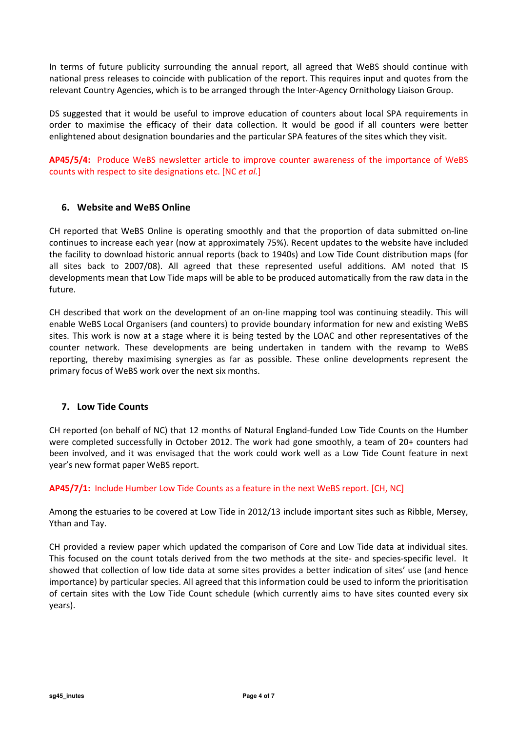In terms of future publicity surrounding the annual report, all agreed that WeBS should continue with national press releases to coincide with publication of the report. This requires input and quotes from the relevant Country Agencies, which is to be arranged through the Inter-Agency Ornithology Liaison Group.

DS suggested that it would be useful to improve education of counters about local SPA requirements in order to maximise the efficacy of their data collection. It would be good if all counters were better enlightened about designation boundaries and the particular SPA features of the sites which they visit.

AP45/5/4: Produce WeBS newsletter article to improve counter awareness of the importance of WeBS counts with respect to site designations etc. [NC et al.]

## 6. Website and WeBS Online

CH reported that WeBS Online is operating smoothly and that the proportion of data submitted on-line continues to increase each year (now at approximately 75%). Recent updates to the website have included the facility to download historic annual reports (back to 1940s) and Low Tide Count distribution maps (for all sites back to 2007/08). All agreed that these represented useful additions. AM noted that IS developments mean that Low Tide maps will be able to be produced automatically from the raw data in the future.

CH described that work on the development of an on-line mapping tool was continuing steadily. This will enable WeBS Local Organisers (and counters) to provide boundary information for new and existing WeBS sites. This work is now at a stage where it is being tested by the LOAC and other representatives of the counter network. These developments are being undertaken in tandem with the revamp to WeBS reporting, thereby maximising synergies as far as possible. These online developments represent the primary focus of WeBS work over the next six months.

### 7. Low Tide Counts

CH reported (on behalf of NC) that 12 months of Natural England-funded Low Tide Counts on the Humber were completed successfully in October 2012. The work had gone smoothly, a team of 20+ counters had been involved, and it was envisaged that the work could work well as a Low Tide Count feature in next year's new format paper WeBS report.

### AP45/7/1: Include Humber Low Tide Counts as a feature in the next WeBS report. [CH, NC]

Among the estuaries to be covered at Low Tide in 2012/13 include important sites such as Ribble, Mersey, Ythan and Tay.

CH provided a review paper which updated the comparison of Core and Low Tide data at individual sites. This focused on the count totals derived from the two methods at the site- and species-specific level. It showed that collection of low tide data at some sites provides a better indication of sites' use (and hence importance) by particular species. All agreed that this information could be used to inform the prioritisation of certain sites with the Low Tide Count schedule (which currently aims to have sites counted every six years).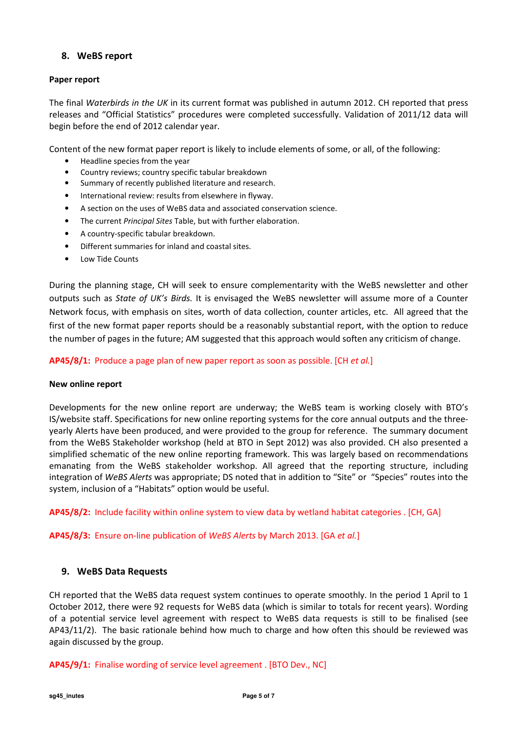## 8. WeBS report

#### Paper report

The final Waterbirds in the UK in its current format was published in autumn 2012. CH reported that press releases and "Official Statistics" procedures were completed successfully. Validation of 2011/12 data will begin before the end of 2012 calendar year.

Content of the new format paper report is likely to include elements of some, or all, of the following:

- Headline species from the year
- Country reviews; country specific tabular breakdown
- Summary of recently published literature and research.
- International review: results from elsewhere in flyway.
- A section on the uses of WeBS data and associated conservation science.
- The current Principal Sites Table, but with further elaboration.
- A country-specific tabular breakdown.
- Different summaries for inland and coastal sites.
- Low Tide Counts

During the planning stage, CH will seek to ensure complementarity with the WeBS newsletter and other outputs such as State of UK's Birds. It is envisaged the WeBS newsletter will assume more of a Counter Network focus, with emphasis on sites, worth of data collection, counter articles, etc. All agreed that the first of the new format paper reports should be a reasonably substantial report, with the option to reduce the number of pages in the future; AM suggested that this approach would soften any criticism of change.

#### AP45/8/1: Produce a page plan of new paper report as soon as possible. [CH et al.]

#### New online report

Developments for the new online report are underway; the WeBS team is working closely with BTO's IS/website staff. Specifications for new online reporting systems for the core annual outputs and the threeyearly Alerts have been produced, and were provided to the group for reference. The summary document from the WeBS Stakeholder workshop (held at BTO in Sept 2012) was also provided. CH also presented a simplified schematic of the new online reporting framework. This was largely based on recommendations emanating from the WeBS stakeholder workshop. All agreed that the reporting structure, including integration of WeBS Alerts was appropriate; DS noted that in addition to "Site" or "Species" routes into the system, inclusion of a "Habitats" option would be useful.

AP45/8/2: Include facility within online system to view data by wetland habitat categories . [CH, GA]

AP45/8/3: Ensure on-line publication of WeBS Alerts by March 2013. [GA et al.]

### 9. WeBS Data Requests

CH reported that the WeBS data request system continues to operate smoothly. In the period 1 April to 1 October 2012, there were 92 requests for WeBS data (which is similar to totals for recent years). Wording of a potential service level agreement with respect to WeBS data requests is still to be finalised (see AP43/11/2). The basic rationale behind how much to charge and how often this should be reviewed was again discussed by the group.

AP45/9/1: Finalise wording of service level agreement . [BTO Dev., NC]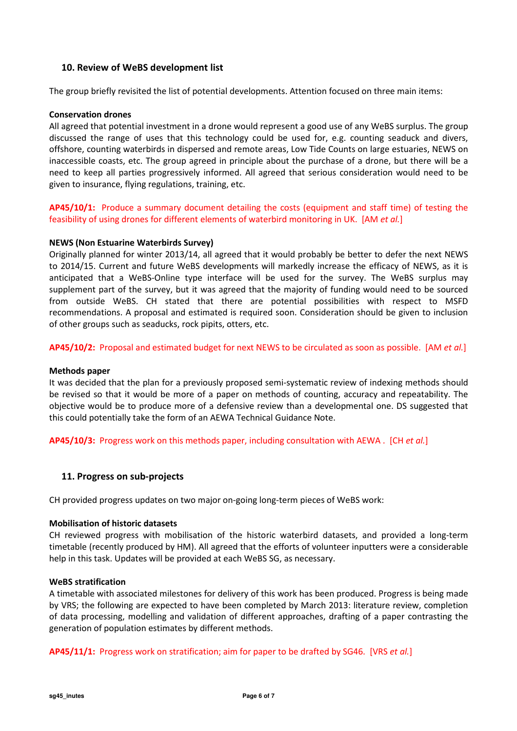## 10. Review of WeBS development list

The group briefly revisited the list of potential developments. Attention focused on three main items:

#### Conservation drones

All agreed that potential investment in a drone would represent a good use of any WeBS surplus. The group discussed the range of uses that this technology could be used for, e.g. counting seaduck and divers, offshore, counting waterbirds in dispersed and remote areas, Low Tide Counts on large estuaries, NEWS on inaccessible coasts, etc. The group agreed in principle about the purchase of a drone, but there will be a need to keep all parties progressively informed. All agreed that serious consideration would need to be given to insurance, flying regulations, training, etc.

AP45/10/1: Produce a summary document detailing the costs (equipment and staff time) of testing the feasibility of using drones for different elements of waterbird monitoring in UK. [AM et al.]

#### NEWS (Non Estuarine Waterbirds Survey)

Originally planned for winter 2013/14, all agreed that it would probably be better to defer the next NEWS to 2014/15. Current and future WeBS developments will markedly increase the efficacy of NEWS, as it is anticipated that a WeBS-Online type interface will be used for the survey. The WeBS surplus may supplement part of the survey, but it was agreed that the majority of funding would need to be sourced from outside WeBS. CH stated that there are potential possibilities with respect to MSFD recommendations. A proposal and estimated is required soon. Consideration should be given to inclusion of other groups such as seaducks, rock pipits, otters, etc.

AP45/10/2: Proposal and estimated budget for next NEWS to be circulated as soon as possible. [AM et al.]

#### Methods paper

It was decided that the plan for a previously proposed semi-systematic review of indexing methods should be revised so that it would be more of a paper on methods of counting, accuracy and repeatability. The objective would be to produce more of a defensive review than a developmental one. DS suggested that this could potentially take the form of an AEWA Technical Guidance Note.

AP45/10/3: Progress work on this methods paper, including consultation with AEWA . [CH et al.]

### 11. Progress on sub-projects

CH provided progress updates on two major on-going long-term pieces of WeBS work:

#### Mobilisation of historic datasets

CH reviewed progress with mobilisation of the historic waterbird datasets, and provided a long-term timetable (recently produced by HM). All agreed that the efforts of volunteer inputters were a considerable help in this task. Updates will be provided at each WeBS SG, as necessary.

#### WeBS stratification

A timetable with associated milestones for delivery of this work has been produced. Progress is being made by VRS; the following are expected to have been completed by March 2013: literature review, completion of data processing, modelling and validation of different approaches, drafting of a paper contrasting the generation of population estimates by different methods.

AP45/11/1: Progress work on stratification; aim for paper to be drafted by SG46. [VRS et al.]